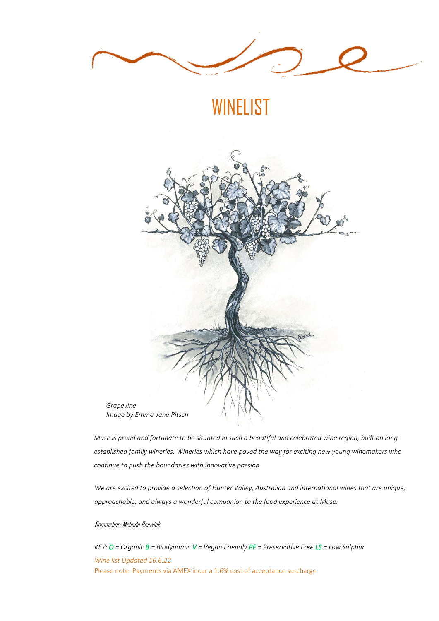

*Muse is proud and fortunate to be situated in such a beautiful and celebrated wine region, built on long established family wineries. Wineries which have paved the way for exciting new young winemakers who continue to push the boundaries with innovative passion.*

*We are excited to provide a selection of Hunter Valley, Australian and international wines that are unique, approachable, and always a wonderful companion to the food experience at Muse.*

#### Sommelier: Melinda Beswick

*KEY: O = Organic B = Biodynamic V = Vegan Friendly PF = Preservative Free LS = Low Sulphur Wine list Updated 16.6.22* Please note: Payments via AMEX incur a 1.6% cost of acceptance surcharge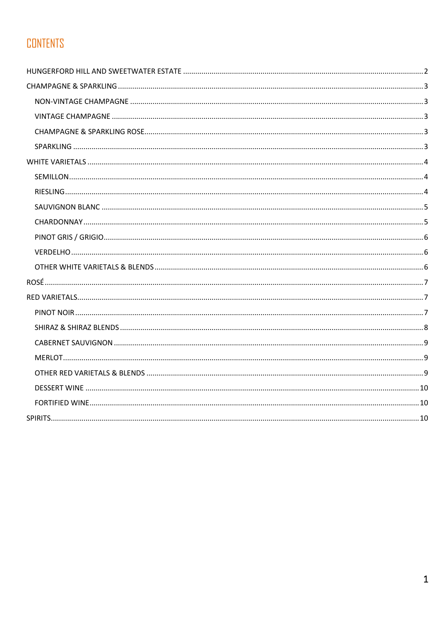# **CONTENTS**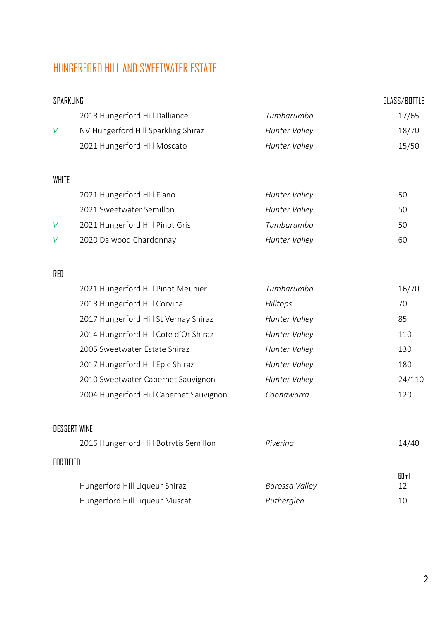## <span id="page-2-0"></span>HUNGERFORD HILL AND SWEETWATER ESTATE

# SPARKLING GLASS/BOTTLE 2018 Hungerford Hill Dalliance *Tumbarumba* 17/65 *V* NV Hungerford Hill Sparkling Shiraz *Hunter Valley* 18/70 2021 Hungerford Hill Moscato *Hunter Valley* 15/50 WHITE 2021 Hungerford Hill Fiano *Hunter Valley* 50 2021 Sweetwater Semillon *Hunter Valley* 50 *V* 2021 Hungerford Hill Pinot Gris *Tumbarumba* 50 *V* 2020 Dalwood Chardonnay *Hunter Valley* 60

#### RED

| 2021 Hungerford Hill Pinot Meunier      | Tumbarumba           | 16/70  |
|-----------------------------------------|----------------------|--------|
| 2018 Hungerford Hill Corvina            | Hilltops             | 70     |
| 2017 Hungerford Hill St Vernay Shiraz   | Hunter Valley        | 85     |
| 2014 Hungerford Hill Cote d'Or Shiraz   | Hunter Valley        | 110    |
| 2005 Sweetwater Estate Shiraz           | Hunter Valley        | 130    |
| 2017 Hungerford Hill Epic Shiraz        | <b>Hunter Valley</b> | 180    |
| 2010 Sweetwater Cabernet Sauvignon      | Hunter Valley        | 24/110 |
| 2004 Hungerford Hill Cabernet Sauvignon | Coonawarra           | 120    |
|                                         |                      |        |

|           | <b>DESSERT WINE</b>                    |                |             |
|-----------|----------------------------------------|----------------|-------------|
|           | 2016 Hungerford Hill Botrytis Semillon | Rivering       | 14/40       |
| FORTIFIED |                                        |                |             |
|           |                                        |                | <b>GDml</b> |
|           | Hungerford Hill Liqueur Shiraz         | Barossa Valley | 12          |
|           | Hungerford Hill Liqueur Muscat         | Rutherglen     | 10          |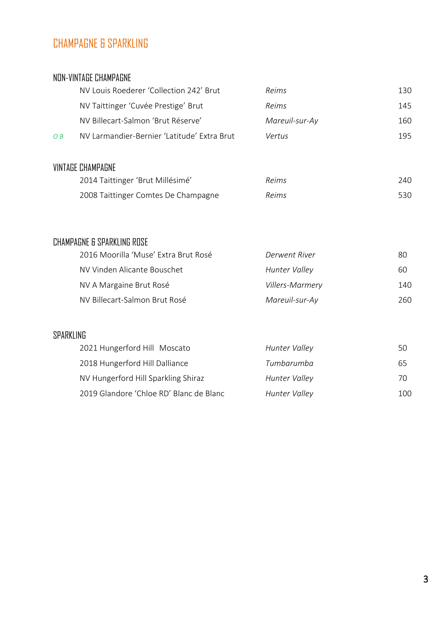## <span id="page-3-0"></span>CHAMPAGNE & SPARKLING

#### <span id="page-3-1"></span>NON-VINTAGE CHAMPAGNE

<span id="page-3-2"></span>

|                               | NV Louis Roederer 'Collection 242' Brut     | <b>Reims</b>   | 130 |
|-------------------------------|---------------------------------------------|----------------|-----|
|                               | NV Taittinger 'Cuvée Prestige' Brut         | Reims          | 145 |
|                               | NV Billecart-Salmon 'Brut Réserve'          | Mareuil-sur-Ay | 160 |
| $\overline{O}$ $\overline{B}$ | NV Larmandier-Bernier 'Latitude' Extra Brut | Vertus         | 195 |
|                               | VINTAGE CHAMPAGNE                           |                |     |
|                               | 2014 Taittinger 'Brut Millésimé'            | Reims          | 240 |
|                               | 2008 Taittinger Comtes De Champagne         | Reims          | 530 |

### <span id="page-3-3"></span>CHAMPAGNE & SPARKLING ROSE

| 2016 Moorilla 'Muse' Extra Brut Rosé | Derwent River        | 80   |
|--------------------------------------|----------------------|------|
| NV Vinden Alicante Bouschet          | <b>Hunter Valley</b> | 60   |
| NV A Margaine Brut Rosé              | Villers-Marmery      | 140. |
| NV Billecart-Salmon Brut Rosé        | Mareuil-sur-Ay       | 260. |

#### <span id="page-3-4"></span>SPARKLING

| 2021 Hungerford Hill Moscato            | Hunter Valley        | 50  |
|-----------------------------------------|----------------------|-----|
| 2018 Hungerford Hill Dalliance          | Tumbarumba           | 65  |
| NV Hungerford Hill Sparkling Shiraz     | <b>Hunter Valley</b> | 70  |
| 2019 Glandore 'Chloe RD' Blanc de Blanc | <b>Hunter Valley</b> | 100 |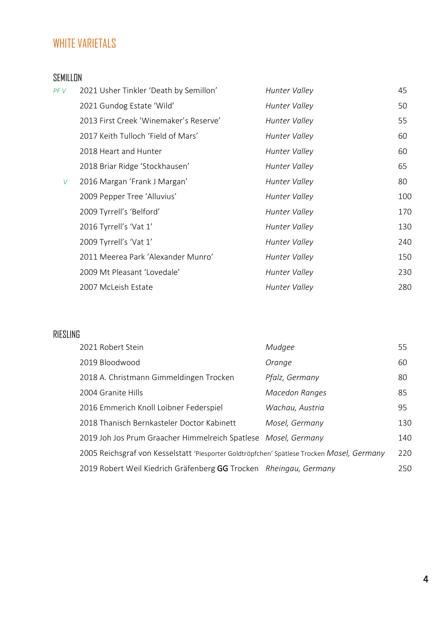## <span id="page-4-0"></span>WHITE VARIETALS

### <span id="page-4-1"></span>SEMILLON

| PF V | 2021 Usher Tinkler 'Death by Semillon' | <b>Hunter Valley</b> | 45  |
|------|----------------------------------------|----------------------|-----|
|      | 2021 Gundog Estate 'Wild'              | Hunter Valley        | 50  |
|      | 2013 First Creek 'Winemaker's Reserve' | Hunter Valley        | 55  |
|      | 2017 Keith Tulloch 'Field of Mars'     | Hunter Valley        | 60  |
|      | 2018 Heart and Hunter                  | Hunter Valley        | 60  |
|      | 2018 Briar Ridge 'Stockhausen'         | Hunter Valley        | 65  |
| V    | 2016 Margan 'Frank J Margan'           | Hunter Valley        | 80  |
|      | 2009 Pepper Tree 'Alluvius'            | Hunter Valley        | 100 |
|      | 2009 Tyrrell's 'Belford'               | Hunter Valley        | 170 |
|      | 2016 Tyrrell's 'Vat 1'                 | Hunter Valley        | 130 |
|      | 2009 Tyrrell's 'Vat 1'                 | Hunter Valley        | 240 |
|      | 2011 Meerea Park 'Alexander Munro'     | Hunter Valley        | 150 |
|      | 2009 Mt Pleasant 'Lovedale'            | Hunter Valley        | 230 |
|      | 2007 McLeish Estate                    | Hunter Valley        | 280 |

### <span id="page-4-2"></span>RIESLING

| 2021 Robert Stein                                                                          | Mudgee          | 55  |
|--------------------------------------------------------------------------------------------|-----------------|-----|
| 2019 Bloodwood                                                                             | Orange          | 60  |
| 2018 A. Christmann Gimmeldingen Trocken                                                    | Pfalz, Germany  | 80  |
| 2004 Granite Hills                                                                         | Macedon Ranges  | 85  |
| 2016 Emmerich Knoll Loibner Federspiel                                                     | Wachau, Austria | 95  |
| 2018 Thanisch Bernkasteler Doctor Kabinett                                                 | Mosel, Germany  | 130 |
| 2019 Joh Jos Prum Graacher Himmelreich Spatlese Mosel, Germany                             |                 | 140 |
| 2005 Reichsgraf von Kesselstatt 'Piesporter Goldtröpfchen' Spätlese Trocken Mosel, Germany |                 | 220 |
| 2019 Robert Weil Kiedrich Gräfenberg GG Trocken Rheingau, Germany                          |                 | 250 |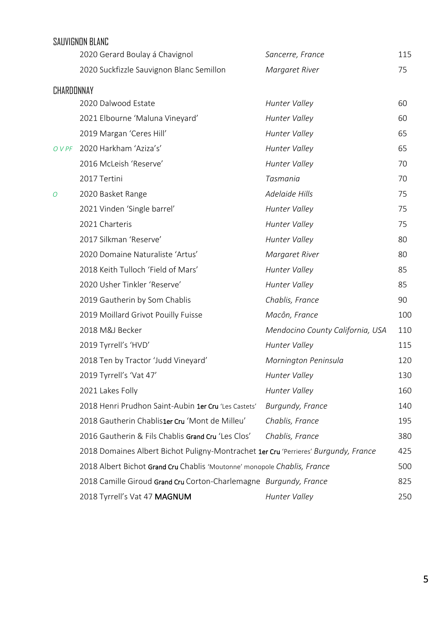<span id="page-5-1"></span><span id="page-5-0"></span>

|            | SAUVIGNON BLANC                                                                     |                                  |     |
|------------|-------------------------------------------------------------------------------------|----------------------------------|-----|
|            | 2020 Gerard Boulay á Chavignol                                                      | Sancerre, France                 | 115 |
|            | 2020 Suckfizzle Sauvignon Blanc Semillon                                            | Margaret River                   | 75  |
| CHARDONNAY |                                                                                     |                                  |     |
|            | 2020 Dalwood Estate                                                                 | <b>Hunter Valley</b>             | 60  |
|            | 2021 Elbourne 'Maluna Vineyard'                                                     | Hunter Valley                    | 60  |
|            | 2019 Margan 'Ceres Hill'                                                            | Hunter Valley                    | 65  |
| O V PF     | 2020 Harkham 'Aziza's'                                                              | Hunter Valley                    | 65  |
|            | 2016 McLeish 'Reserve'                                                              | Hunter Valley                    | 70  |
|            | 2017 Tertini                                                                        | Tasmania                         | 70  |
| O          | 2020 Basket Range                                                                   | <b>Adelaide Hills</b>            | 75  |
|            | 2021 Vinden 'Single barrel'                                                         | <b>Hunter Valley</b>             | 75  |
|            | 2021 Charteris                                                                      | Hunter Valley                    | 75  |
|            | 2017 Silkman 'Reserve'                                                              | Hunter Valley                    | 80  |
|            | 2020 Domaine Naturaliste 'Artus'                                                    | Margaret River                   | 80  |
|            | 2018 Keith Tulloch 'Field of Mars'                                                  | <b>Hunter Valley</b>             | 85  |
|            | 2020 Usher Tinkler 'Reserve'                                                        | Hunter Valley                    | 85  |
|            | 2019 Gautherin by Som Chablis                                                       | Chablis, France                  | 90  |
|            | 2019 Moillard Grivot Pouilly Fuisse                                                 | Macôn, France                    | 100 |
|            | 2018 M&J Becker                                                                     | Mendocino County California, USA | 110 |
|            | 2019 Tyrrell's 'HVD'                                                                | Hunter Valley                    | 115 |
|            | 2018 Ten by Tractor 'Judd Vineyard'                                                 | Mornington Peninsula             | 120 |
|            | 2019 Tyrrell's 'Vat 47'                                                             | <b>Hunter Valley</b>             | 130 |
|            | 2021 Lakes Folly                                                                    | Hunter Valley                    | 160 |
|            | 2018 Henri Prudhon Saint-Aubin 1er Cru 'Les Castets'                                | Burgundy, France                 | 140 |
|            | 2018 Gautherin Chablis1er Cru 'Mont de Milleu'                                      | Chablis, France                  | 195 |
|            | 2016 Gautherin & Fils Chablis Grand Cru 'Les Clos'                                  | Chablis, France                  | 380 |
|            | 2018 Domaines Albert Bichot Puligny-Montrachet 1er Cru 'Perrieres' Burgundy, France |                                  | 425 |
|            | 2018 Albert Bichot Grand Cru Chablis 'Moutonne' monopole Chablis, France            |                                  | 500 |
|            | 2018 Camille Giroud Grand Cru Corton-Charlemagne Burgundy, France                   |                                  | 825 |
|            | 2018 Tyrrell's Vat 47 MAGNUM                                                        | Hunter Valley                    | 250 |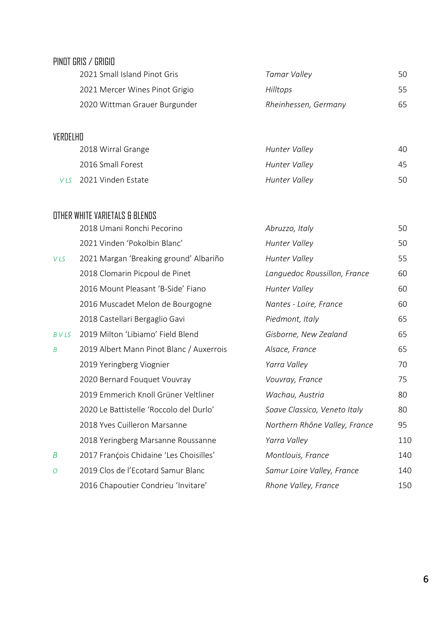<span id="page-6-0"></span>

| PINOT GRIS / GRIGIO |  |  |
|---------------------|--|--|
|---------------------|--|--|

| 2021 Small Island Pinot Gris   | Tamar Valley         | 50 |
|--------------------------------|----------------------|----|
| 2021 Mercer Wines Pinot Grigio | <b>Hilltops</b>      | 55 |
| 2020 Wittman Grauer Burgunder  | Rheinhessen, Germany | 65 |

## <span id="page-6-1"></span>VERDELHO

| 2018 Wirral Grange     | Hunter Valley | 40 |
|------------------------|---------------|----|
| 2016 Small Forest      | Hunter Valley | 45 |
| VLS 2021 Vinden Estate | Hunter Valley | 50 |

### <span id="page-6-2"></span>OTHER WHITE VARIETALS & BLENDS

|                | 2018 Umani Ronchi Pecorino               | Abruzzo, Italy                | 50  |
|----------------|------------------------------------------|-------------------------------|-----|
|                | 2021 Vinden 'Pokolbin Blanc'             | Hunter Valley                 | 50  |
| <b>VLS</b>     | 2021 Margan 'Breaking ground' Albariño   | Hunter Valley                 | 55  |
|                | 2018 Clomarin Picpoul de Pinet           | Languedoc Roussillon, France  | 60  |
|                | 2016 Mount Pleasant 'B-Side' Fiano       | Hunter Valley                 | 60  |
|                | 2016 Muscadet Melon de Bourgogne         | Nantes - Loire, France        | 60  |
|                | 2018 Castellari Bergaglio Gavi           | Piedmont, Italy               | 65  |
| <b>BVLS</b>    | 2019 Milton 'Libiamo' Field Blend        | Gisborne, New Zealand         | 65  |
| B              | 2019 Albert Mann Pinot Blanc / Auxerrois | Alsace, France                | 65  |
|                | 2019 Yeringberg Viognier                 | Yarra Valley                  | 70  |
|                | 2020 Bernard Fouquet Vouvray             | Vouvray, France               | 75  |
|                | 2019 Emmerich Knoll Grüner Veltliner     | Wachau, Austria               | 80  |
|                | 2020 Le Battistelle 'Roccolo del Durlo'  | Soave Classico, Veneto Italy  | 80  |
|                | 2018 Yves Cuilleron Marsanne             | Northern Rhône Valley, France | 95  |
|                | 2018 Yeringberg Marsanne Roussanne       | Yarra Valley                  | 110 |
| B              | 2017 François Chidaine 'Les Choisilles'  | Montlouis, France             | 140 |
| $\overline{O}$ | 2019 Clos de l'Ecotard Samur Blanc       | Samur Loire Valley, France    | 140 |
|                | 2016 Chapoutier Condrieu 'Invitare'      | Rhone Valley, France          | 150 |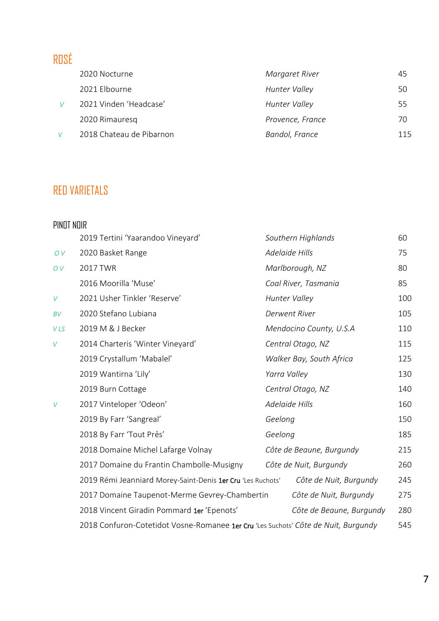# <span id="page-7-0"></span>ROSÉ

| 2020 Nocturne            | Margaret River   | 45  |
|--------------------------|------------------|-----|
| 2021 Elbourne            | Hunter Valley    | 50  |
| 2021 Vinden 'Headcase'   | Hunter Valley    | 55  |
| 2020 Rimauresq           | Provence, France | 70. |
| 2018 Chateau de Pibarnon | Bandol, France   | 115 |

# <span id="page-7-1"></span>RED VARIETALS

<span id="page-7-2"></span>

| PINOT NOIR |                                                                                    |         |                          |     |
|------------|------------------------------------------------------------------------------------|---------|--------------------------|-----|
|            | 2019 Tertini 'Yaarandoo Vineyard'                                                  |         | Southern Highlands       | 60  |
| OV         | 2020 Basket Range                                                                  |         | Adelaide Hills           | 75  |
| OV         | 2017 TWR                                                                           |         | Marlborough, NZ          | 80  |
|            | 2016 Moorilla 'Muse'                                                               |         | Coal River, Tasmania     | 85  |
| $\vee$     | 2021 Usher Tinkler 'Reserve'                                                       |         | Hunter Valley            | 100 |
| BV         | 2020 Stefano Lubiana                                                               |         | <b>Derwent River</b>     | 105 |
| VLS        | 2019 M & J Becker                                                                  |         | Mendocino County, U.S.A  | 110 |
| V          | 2014 Charteris 'Winter Vineyard'                                                   |         | Central Otago, NZ        | 115 |
|            | 2019 Crystallum 'Mabalel'                                                          |         | Walker Bay, South Africa | 125 |
|            | 2019 Wantirna 'Lily'                                                               |         | Yarra Valley             | 130 |
|            | 2019 Burn Cottage                                                                  |         | Central Otago, NZ        | 140 |
| V          | 2017 Vinteloper 'Odeon'                                                            |         | Adelaide Hills           | 160 |
|            | 2019 By Farr 'Sangreal'                                                            | Geelong |                          | 150 |
|            | 2018 By Farr 'Tout Pres'                                                           | Geelong |                          | 185 |
|            | 2018 Domaine Michel Lafarge Volnay                                                 |         | Côte de Beaune, Burgundy | 215 |
|            | 2017 Domaine du Frantin Chambolle-Musigny                                          |         | Côte de Nuit, Burgundy   | 260 |
|            | 2019 Rémi Jeanniard Morey-Saint-Denis 1er Cru 'Les Ruchots'                        |         | Côte de Nuit, Burgundy   | 245 |
|            | 2017 Domaine Taupenot-Merme Gevrey-Chambertin                                      |         | Côte de Nuit, Burgundy   | 275 |
|            | 2018 Vincent Giradin Pommard 1er 'Epenots'                                         |         | Côte de Beaune, Burgundy | 280 |
|            | 2018 Confuron-Cotetidot Vosne-Romanee 1er Cru 'Les Suchots' Côte de Nuit, Burgundy |         |                          | 545 |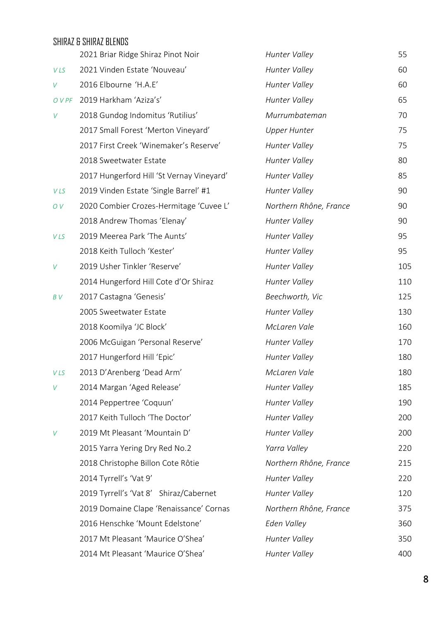## <span id="page-8-0"></span>SHIRAZ & SHIRAZ BLENDS 2021 Briar Ridge Shiraz Pinot Noir *Hunter Valley* 55 *V LS* 2021 Vinden Estate 'Nouveau' *Hunter Valley* 60 *V* 2016 Elbourne 'H.A.E' *Hunter Valley* 60 *O V PF* 2019 Harkham 'Aziza's' *Hunter Valley* 65 *V* 2018 Gundog Indomitus 'Rutilius' *Murrumbateman* 70 2017 Small Forest 'Merton Vineyard' *Upper Hunter* 75 2017 First Creek 'Winemaker's Reserve' *Hunter Valley* 75 2018 Sweetwater Estate *Hunter Valley* 80 2017 Hungerford Hill 'St Vernay Vineyard' *Hunter Valley* 85 *V LS* 2019 Vinden Estate 'Single Barrel' #1 *Hunter Valley* 90 *O V* 2020 Combier Crozes-Hermitage 'Cuvee L' *Northern Rhône, France* 90 2018 Andrew Thomas 'Elenay' *Hunter Valley* 90 *V LS* 2019 Meerea Park 'The Aunts' *Hunter Valley* 95 2018 Keith Tulloch 'Kester' *Hunter Valley* 95 *V* 2019 Usher Tinkler 'Reserve' *Hunter Valley* 105 2014 Hungerford Hill Cote d'Or Shiraz *Hunter Valley* 110 *B V* 2017 Castagna 'Genesis' *Beechworth, Vic* 125 2005 Sweetwater Estate *Hunter Valley* 130 2018 Koomilya 'JC Block' *McLaren Vale* 160 2006 McGuigan 'Personal Reserve' *Hunter Valley* 170 2017 Hungerford Hill 'Epic' *Hunter Valley* 180 *V LS* 2013 D'Arenberg 'Dead Arm' *McLaren Vale* 180 *V* 2014 Margan 'Aged Release' *Hunter Valley* 185 2014 Peppertree 'Coquun' *Hunter Valley* 190 2017 Keith Tulloch 'The Doctor' *Hunter Valley* 200 *V* 2019 Mt Pleasant 'Mountain D' *Hunter Valley* 200 2015 Yarra Yering Dry Red No.2 *Yarra Valley* 220 2018 Christophe Billon Cote Rôtie *Northern Rhône, France* 215 2014 Tyrrell's 'Vat 9' *Hunter Valley* 220 2019 Tyrrell's 'Vat 8' Shiraz/Cabernet *Hunter Valley* 120

2019 Domaine Clape 'Renaissance' Cornas *Northern Rhône, France* 375

2016 Henschke 'Mount Edelstone' *Eden Valley* 360

2017 Mt Pleasant 'Maurice O'Shea' *Hunter Valley* 350

2014 Mt Pleasant 'Maurice O'Shea' *Hunter Valley* 400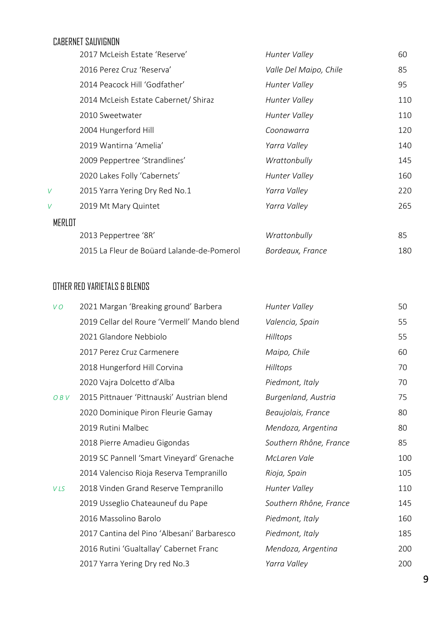### CABERNET SAUVIGNON

<span id="page-9-0"></span>

|        | 2017 McLeish Estate 'Reserve'              | Hunter Valley          | 60  |
|--------|--------------------------------------------|------------------------|-----|
|        | 2016 Perez Cruz 'Reserva'                  | Valle Del Maipo, Chile | 85  |
|        | 2014 Peacock Hill 'Godfather'              | Hunter Valley          | 95  |
|        | 2014 McLeish Estate Cabernet/ Shiraz       | Hunter Valley          | 110 |
|        | 2010 Sweetwater                            | Hunter Valley          | 110 |
|        | 2004 Hungerford Hill                       | Coonawarra             | 120 |
|        | 2019 Wantirna 'Amelia'                     | Yarra Valley           | 140 |
|        | 2009 Peppertree 'Strandlines'              | Wrattonbully           | 145 |
|        | 2020 Lakes Folly 'Cabernets'               | Hunter Valley          | 160 |
| V      | 2015 Yarra Yering Dry Red No.1             | Yarra Valley           | 220 |
| V      | 2019 Mt Mary Quintet                       | Yarra Valley           | 265 |
| MERLOT |                                            |                        |     |
|        | 2013 Peppertree '8R'                       | Wrattonbully           | 85  |
|        | 2015 La Fleur de Boüard Lalande-de-Pomerol | Bordeaux, France       | 180 |

### <span id="page-9-2"></span><span id="page-9-1"></span>OTHER RED VARIETALS & BLENDS

| VO  | 2021 Margan 'Breaking ground' Barbera       | Hunter Valley          | 50  |
|-----|---------------------------------------------|------------------------|-----|
|     | 2019 Cellar del Roure 'Vermell' Mando blend | Valencia, Spain        | 55  |
|     | 2021 Glandore Nebbiolo                      | Hilltops               | 55  |
|     | 2017 Perez Cruz Carmenere                   | Maipo, Chile           | 60  |
|     | 2018 Hungerford Hill Corvina                | Hilltops               | 70  |
|     | 2020 Vajra Dolcetto d'Alba                  | Piedmont, Italy        | 70  |
| OBV | 2015 Pittnauer 'Pittnauski' Austrian blend  | Burgenland, Austria    | 75  |
|     | 2020 Dominique Piron Fleurie Gamay          | Beaujolais, France     | 80  |
|     | 2019 Rutini Malbec                          | Mendoza, Argentina     | 80  |
|     | 2018 Pierre Amadieu Gigondas                | Southern Rhône, France | 85  |
|     | 2019 SC Pannell 'Smart Vineyard' Grenache   | McLaren Vale           | 100 |
|     | 2014 Valenciso Rioja Reserva Tempranillo    | Rioja, Spain           | 105 |
| VLS | 2018 Vinden Grand Reserve Tempranillo       | Hunter Valley          | 110 |
|     | 2019 Usseglio Chateauneuf du Pape           | Southern Rhône, France | 145 |
|     | 2016 Massolino Barolo                       | Piedmont, Italy        | 160 |
|     | 2017 Cantina del Pino 'Albesani' Barbaresco | Piedmont, Italy        | 185 |
|     | 2016 Rutini 'Gualtallay' Cabernet Franc     | Mendoza, Argentina     | 200 |
|     | 2017 Yarra Yering Dry red No.3              | Yarra Valley           | 200 |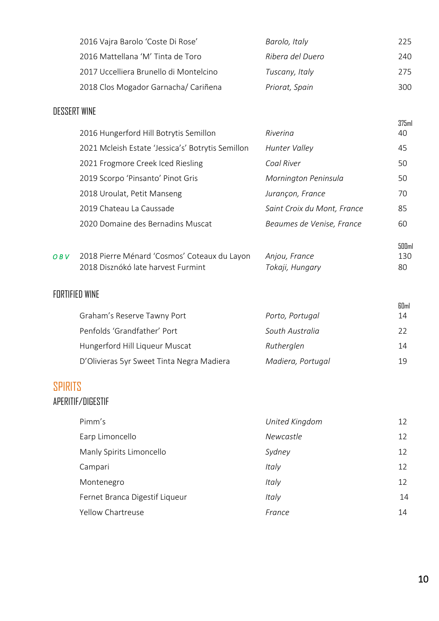| 2016 Vajra Barolo 'Coste Di Rose'      | Barolo, Italy    | 225. |
|----------------------------------------|------------------|------|
| 2016 Mattellana 'M' Tinta de Toro      | Ribera del Duero | 240. |
| 2017 Uccelliera Brunello di Montelcino | Tuscany, Italy   | 275. |
| 2018 Clos Mogador Garnacha/ Cariñena   | Priorat, Spain   | 300. |

### <span id="page-10-0"></span>DESSERT WINE

| 2016 Hungerford Hill Botrytis Semillon            | Rivering                    | 375 <sub>ml</sub><br>40 |
|---------------------------------------------------|-----------------------------|-------------------------|
| 2021 Mcleish Estate 'Jessica's' Botrytis Semillon | Hunter Valley               | 45                      |
| 2021 Frogmore Creek Iced Riesling                 | Coal River                  | 50                      |
| 2019 Scorpo 'Pinsanto' Pinot Gris                 | Mornington Peninsula        | 50                      |
| 2018 Uroulat, Petit Manseng                       | Jurançon, France            | 70                      |
| 2019 Chateau La Caussade                          | Saint Croix du Mont, France | 85                      |
| 2020 Domaine des Bernadins Muscat                 | Beaumes de Venise, France   | 60                      |
|                                                   |                             |                         |

| OBV | 2018 Pierre Ménard 'Cosmos' Coteaux du Layon Anjou, France |                 | 130 |
|-----|------------------------------------------------------------|-----------------|-----|
|     | 2018 Disznókó late harvest Furmint                         | Tokaji, Hungary | 80  |

### <span id="page-10-1"></span>FORTIFIED WINE

| Graham's Reserve Tawny Port               | Porto, Portugal   | 60 <sub>ml</sub><br>14 |
|-------------------------------------------|-------------------|------------------------|
| Penfolds 'Grandfather' Port               | South Australia   | フフ                     |
| Hungerford Hill Liqueur Muscat            | Rutherglen        | 14                     |
| D'Olivieras 5yr Sweet Tinta Negra Madiera | Madiera, Portugal | 1 Q                    |

## <span id="page-10-2"></span>SPIRITS

### APERITIF/DIGESTIF

| Pimm's                         | United Kingdom   | 12 |
|--------------------------------|------------------|----|
| Earp Limoncello                | <b>Newcastle</b> | 12 |
| Manly Spirits Limoncello       | Sydney           | 12 |
| Campari                        | Italy            | 12 |
| Montenegro                     | <i>Italy</i>     | 12 |
| Fernet Branca Digestif Liqueur | Italy            | 14 |
| Yellow Chartreuse              | France           | 14 |

500ml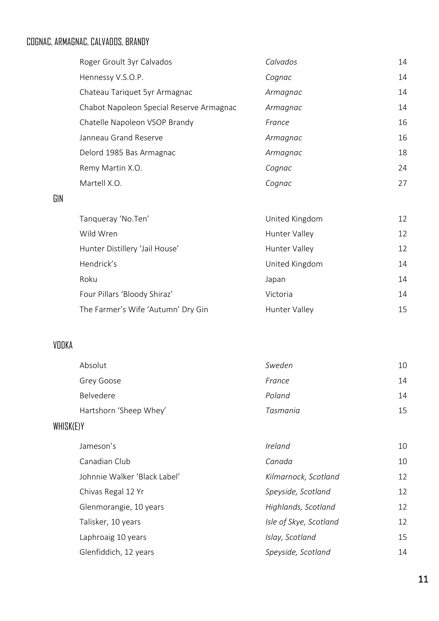## COGNAC, ARMAGNAC, CALVADOS, BRANDY

| Roger Groult 3yr Calvados                | Calvados | 14 |
|------------------------------------------|----------|----|
| Hennessy V.S.O.P.                        | Cognac   | 14 |
| Chateau Tariquet 5yr Armagnac            | Armagnac | 14 |
| Chabot Napoleon Special Reserve Armagnac | Armagnac | 14 |
| Chatelle Napoleon VSOP Brandy            | France   | 16 |
| Janneau Grand Reserve                    | Armagnac | 16 |
| Delord 1985 Bas Armagnac                 | Armagnac | 18 |
| Remy Martin X.O.                         | Cognac   | 24 |
| Martell X.O.                             | Cognac   | 27 |
|                                          |          |    |

#### GIN

| Tanqueray 'No.Ten'                 | United Kingdom | 12 |
|------------------------------------|----------------|----|
| Wild Wren                          | Hunter Valley  | 12 |
| Hunter Distillery 'Jail House'     | Hunter Valley  | 12 |
| Hendrick's                         | United Kingdom | 14 |
| Roku                               | Japan          | 14 |
| Four Pillars 'Bloody Shiraz'       | Victoria       | 14 |
| The Farmer's Wife 'Autumn' Dry Gin | Hunter Valley  | 15 |

## VODKA

| Absolut                | Sweden   | 10 |
|------------------------|----------|----|
| Grey Goose             | France   | 14 |
| Belvedere              | Poland   | 14 |
| Hartshorn 'Sheep Whey' | Tasmania | 15 |
|                        |          |    |

## WHISK(E)Y

| Jameson's                    | Ireland                | 10 |
|------------------------------|------------------------|----|
| Canadian Club                | Canada                 | 10 |
| Johnnie Walker 'Black Label' | Kilmarnock, Scotland   | 12 |
| Chivas Regal 12 Yr           | Speyside, Scotland     | 12 |
| Glenmorangie, 10 years       | Highlands, Scotland    | 12 |
| Talisker, 10 years           | Isle of Skye, Scotland | 12 |
| Laphroaig 10 years           | Islay, Scotland        | 15 |
| Glenfiddich, 12 years        | Speyside, Scotland     | 14 |